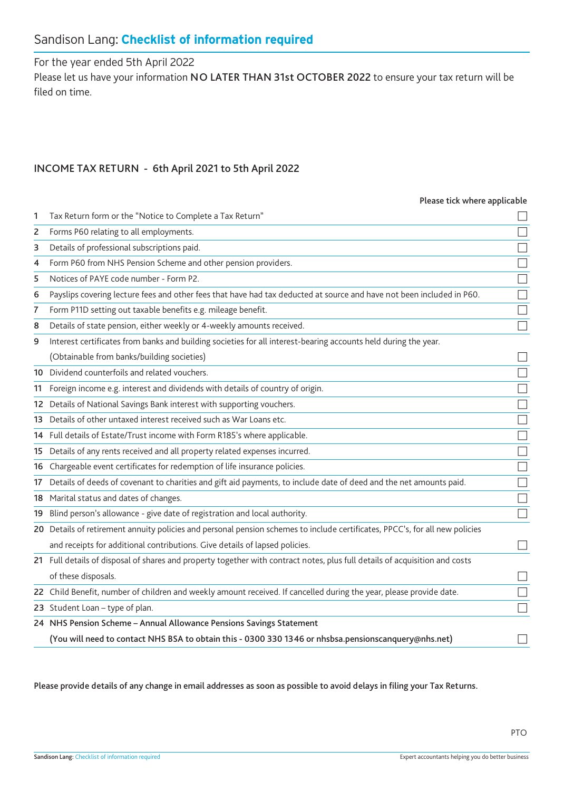# Sandison Lang: **Checklist of information required**

For the year ended 5th April 2022

Please let us have your information NO LATER THAN 31st OCTOBER 2022 to ensure your tax return will be filed on time.

## INCOME TAX RETURN - 6th April 2021 to 5th April 2022

#### Please tick where applicable

| 1  | Tax Return form or the "Notice to Complete a Tax Return"                                                                     |        |
|----|------------------------------------------------------------------------------------------------------------------------------|--------|
| 2  | Forms P60 relating to all employments.                                                                                       |        |
| з  | Details of professional subscriptions paid.                                                                                  |        |
| 4  | Form P60 from NHS Pension Scheme and other pension providers.                                                                | $\Box$ |
| 5  | Notices of PAYE code number - Form P2.                                                                                       |        |
| 6  | Payslips covering lecture fees and other fees that have had tax deducted at source and have not been included in P60.        |        |
| 7  | Form P11D setting out taxable benefits e.g. mileage benefit.                                                                 |        |
| 8  | Details of state pension, either weekly or 4-weekly amounts received.                                                        |        |
| 9  | Interest certificates from banks and building societies for all interest-bearing accounts held during the year.              |        |
|    | (Obtainable from banks/building societies)                                                                                   |        |
|    | 10 Dividend counterfoils and related vouchers.                                                                               |        |
|    | 11 Foreign income e.g. interest and dividends with details of country of origin.                                             |        |
|    | 12 Details of National Savings Bank interest with supporting vouchers.                                                       |        |
| 13 | Details of other untaxed interest received such as War Loans etc.                                                            | $\Box$ |
|    | 14 Full details of Estate/Trust income with Form R185's where applicable.                                                    |        |
|    | 15 Details of any rents received and all property related expenses incurred.                                                 |        |
|    | 16 Chargeable event certificates for redemption of life insurance policies.                                                  | $\Box$ |
| 17 | Details of deeds of covenant to charities and gift aid payments, to include date of deed and the net amounts paid.           |        |
|    | 18 Marital status and dates of changes.                                                                                      |        |
|    | 19 Blind person's allowance - give date of registration and local authority.                                                 | $\Box$ |
|    | 20 Details of retirement annuity policies and personal pension schemes to include certificates, PPCC's, for all new policies |        |
|    | and receipts for additional contributions. Give details of lapsed policies.                                                  |        |
|    | 21 Full details of disposal of shares and property together with contract notes, plus full details of acquisition and costs  |        |
|    | of these disposals.                                                                                                          |        |
|    | 22 Child Benefit, number of children and weekly amount received. If cancelled during the year, please provide date.          |        |
|    | 23 Student Loan - type of plan.                                                                                              |        |
|    | 24 NHS Pension Scheme - Annual Allowance Pensions Savings Statement                                                          |        |
|    | (You will need to contact NHS BSA to obtain this - 0300 330 1346 or nhsbsa.pensionscanquery@nhs.net)                         |        |
|    |                                                                                                                              |        |

Please provide details of any change in email addresses as soon as possible to avoid delays in filing your Tax Returns.